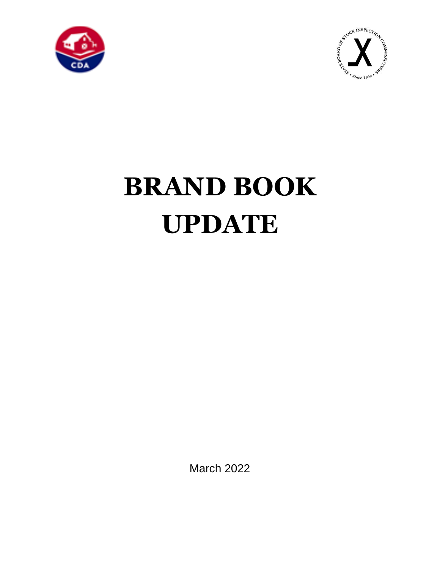



# **BRAND BOOK UPDATE**

March 2022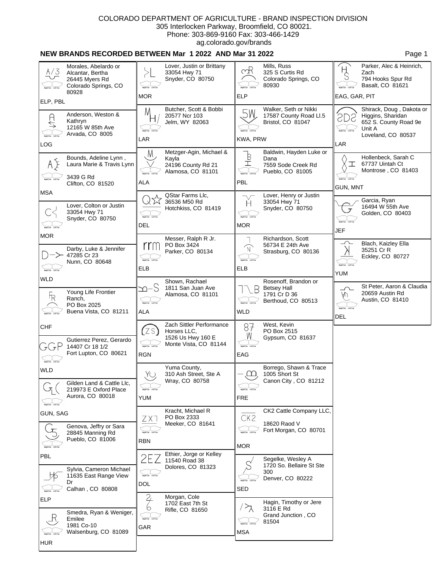## **NEW BRANDS RECORDED BETWEEN Mar 1 2022 AND Mar 31 2022 Page 1** Page 1

| A/3                                                                                            | Morales, Abelardo or<br>Alcantar, Bertha<br>26445 Myers Rd<br>Colorado Springs, CO<br>80928 | MOR.                                          | Lover, Justin or Brittany<br>33054 Hwy 71<br>Snyder, CO 80750                         | mR<br><b>ELP</b>                                           | Mills, Russ<br>325 S Curtis Rd<br>Colorado Springs, CO<br>80930           | H<br>C<br>EAG, GAR, PIT                     | Parker, Alec & Heinrich,<br>Zach<br>794 Hooks Spur Rd<br>Basalt, CO 81621                              |
|------------------------------------------------------------------------------------------------|---------------------------------------------------------------------------------------------|-----------------------------------------------|---------------------------------------------------------------------------------------|------------------------------------------------------------|---------------------------------------------------------------------------|---------------------------------------------|--------------------------------------------------------------------------------------------------------|
| ELP, PBL                                                                                       |                                                                                             |                                               |                                                                                       |                                                            |                                                                           |                                             |                                                                                                        |
| $\begin{array}{c}\n\ominus \\ \longleftarrow\n\end{array}$<br><b>Bight Ear</b> Left Ear<br>LOG | Anderson, Weston &<br>Kathryn<br>12165 W 85th Ave<br>Arvada, CO 8005                        | M<br>light Ear Left E<br>LAR                  | Butcher, Scott & Bobbi<br>20577 Ncr 103<br>Jelm, WY 82063                             | 5W<br>light Ear Left Ee<br>KWA, PRW                        | Walker, Seth or Nikki<br>17587 County Road Ll.5<br>Bristol, CO 81047      | SD<br>light Ear Left Ear<br>LAR             | Shirack, Doug, Dakota or<br>Higgins, Sharidan<br>652 S. County Road 9e<br>Unit A<br>Loveland, CO 80537 |
| AE<br><b>Right Ear</b> Left Ear                                                                | Bounds, Adeline Lynn,<br>Laura Marie & Travis Lynn<br>3439 G Rd                             | M<br>light Ear Left E                         | Metzger-Agin, Michael &<br>Kayla<br>24196 County Rd 21<br>Alamosa, CO 81101           | $\mathbb{B}$<br>Ī<br>light Ear Left Ear                    | Baldwin, Hayden Luke or<br>Dana<br>7559 Sode Creek Rd<br>Pueblo, CO 81005 | ┸                                           | Hollenbeck, Sarah C<br>67737 Uintah Ct<br>Montrose, CO 81403                                           |
| <b>MSA</b>                                                                                     | Clifton, CO 81520                                                                           | ALA                                           |                                                                                       | PBL                                                        |                                                                           | GUN, MNT                                    |                                                                                                        |
| <b>Bight Ear</b> Left Ear                                                                      | Lover, Colton or Justin<br>33054 Hwy 71<br>Snyder, CO 80750                                 | light Ear Left Ear<br>DEL                     | QStar Farms Llc,<br>36536 M50 Rd<br>Hotchkiss, CO 81419                               | H<br><b>Bight Ear</b> Left Ea<br><b>MOR</b>                | Lover, Henry or Justin<br>33054 Hwy 71<br>Snyder, CO 80750                | JEF                                         | Garcia, Ryan<br>16494 W 55th Ave<br>Golden, CO 80403                                                   |
| <b>MOR</b><br><b>Bight Ear</b> Left Ear                                                        | Darby, Luke & Jennifer<br>47285 Cr 23<br>Nunn, CO 80648                                     | rrn<br>light Ear Left Ear<br><b>ELB</b>       | Messer, Ralph R Jr.<br>PO Box 3424<br>Parker, CO 80134                                | $\widehat{\mathbb{N}}$<br><b>Tight Ear</b> Left Ear<br>ELB | Richardson, Scott<br>56734 E 24th Ave<br>Strasburg, CO 80136              | Heht Ear Left Ea<br><b>YUM</b>              | Blach, Kaizley Ella<br>35251 Cr R<br>Eckley, CO 80727                                                  |
| <b>WLD</b>                                                                                     |                                                                                             |                                               | Shown, Rachael                                                                        |                                                            | Rosenoff, Brandon or                                                      |                                             |                                                                                                        |
| $F_R$                                                                                          | Young Life Frontier<br>Ranch,<br>PO Box 2025<br>Buena Vista, CO 81211                       | n−S<br>light Ear Left Ea<br>ALA               | 1811 San Juan Ave<br>Alamosa, CO 81101                                                | <b>Bight Ear</b> Left Ear<br><b>WLD</b>                    | <b>Betsey Hall</b><br>1791 Cr D 36<br>Berthoud, CO 80513                  | ∽<br>ΑIJ<br>ight Ear Left Ear<br><b>DEL</b> | St Peter, Aaron & Claudia<br>20659 Austin Rd<br>Austin, CO 81410                                       |
| <b>CHF</b><br>ラCテビ                                                                             | Gutierrez Perez, Gerardo<br>14407 Cr 18 1/2<br>Fort Lupton, CO 80621                        | ZS<br><b>Right Ear</b> Left Ear<br><b>RGN</b> | Zach Sittler Performance<br>Horses LLC.<br>1526 Us Hwy 160 E<br>Monte Vista, CO 81144 | 87<br>W<br><b>Right Ear</b> Left Ea<br>EAG                 | West, Kevin<br>PO Box 2515<br>Gypsum, CO 81637                            |                                             |                                                                                                        |
| <b>Right Ear</b> Left Ear<br><b>WLD</b>                                                        |                                                                                             |                                               | Yuma County,                                                                          |                                                            | Borrego, Shawn & Trace                                                    |                                             |                                                                                                        |
|                                                                                                | Gilden Land & Cattle Llc,<br>219973 E Oxford Place<br>Aurora, CO 80018                      | Yu<br><b>Right Ear</b> Left Ea<br>YUM         | 310 Ash Street, Ste A<br>Wray, CO 80758                                               | $\Box$<br><b>Bight Ear</b> Left Ea<br>FRE                  | 1005 Short St<br>Canon City, CO 81212                                     |                                             |                                                                                                        |
| <b>GUN, SAG</b>                                                                                |                                                                                             | ZX.                                           | Kracht, Michael R<br>PO Box 2333                                                      | CK <sub>2</sub>                                            | CK2 Cattle Company LLC,                                                   |                                             |                                                                                                        |
|                                                                                                | Genova, Jeffry or Sara<br>28845 Manning Rd<br>Pueblo, CO 81006                              | <b>RBN</b>                                    | Meeker, CO 81641                                                                      | <b>Bight Ear</b> Left Ei<br><b>MOR</b>                     | 18620 Raod V<br>Fort Morgan, CO 80701                                     |                                             |                                                                                                        |
| PBL                                                                                            |                                                                                             |                                               | Ethier, Jorge or Kelley<br>11540 Road 38                                              |                                                            | Segelke, Wesley A                                                         |                                             |                                                                                                        |
| <b>Bight Ear</b> Left Ei                                                                       | Sylvia, Cameron Michael<br>11635 East Range View<br>Dr<br>Calhan, CO 80808                  | <b>Right Ear</b> Left Ea<br>DOL               | Dolores, CO 81323                                                                     | <b>SED</b>                                                 | 1720 So. Bellaire St Ste<br>300<br>Denver, CO 80222                       |                                             |                                                                                                        |
| ELP                                                                                            |                                                                                             |                                               | Morgan, Cole<br>1702 East 7th St                                                      |                                                            | Hagin, Timothy or Jere                                                    |                                             |                                                                                                        |
| <b>HUR</b>                                                                                     | Smedra, Ryan & Weniger,<br>Emilee<br>1981 Co-10<br>Walsenburg, CO 81089                     | Ю<br>tight Ear Left Ear<br>GAR                | Rifle, CO 81650                                                                       | <b>MSA</b>                                                 | 3116 E Rd<br>Grand Junction, CO<br>81504                                  |                                             |                                                                                                        |
|                                                                                                |                                                                                             |                                               |                                                                                       |                                                            |                                                                           |                                             |                                                                                                        |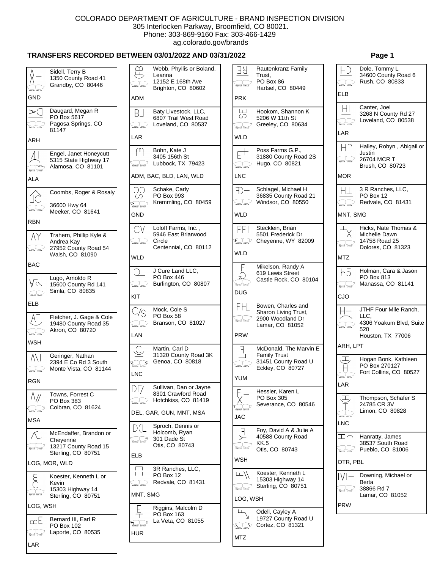# **TRANSFERS RECORDED BETWEEN 03/01/2022 AND 03/31/2022 Page 1**

| Right Ear Left Ear       | Sidell, Terry B<br>1350 County Road 41<br>Grandby, CO 80446          | മ<br>Щ<br>light Car                                  | W٥<br>Le<br>12<br>Bri |
|--------------------------|----------------------------------------------------------------------|------------------------------------------------------|-----------------------|
| GND                      |                                                                      | <b>ADM</b>                                           |                       |
| ➢(                       | Daugard, Megan R<br>PO Box 5617<br>Pagosa Springs, CO<br>81147       | B_l                                                  | Ba<br>68<br>Lo        |
| ARH                      |                                                                      | LAR                                                  |                       |
| Left Ear<br>ALA          | Engel, Janet Honeycutt<br>5315 State Highway 17<br>Alamosa, CO 81101 | ADM, BAC,                                            | Bo<br>34<br>Lu        |
|                          |                                                                      | CC                                                   | Sc                    |
| IC.                      | Coombs, Roger & Rosaly<br>36600 Hwy 64<br>Meeker, CO 81641           | O)<br><b>Production</b><br>Tight Car Laff Car<br>GND | PC<br>Kr              |
| <b>RBN</b>               |                                                                      | CV                                                   | Lo                    |
| ΛY                       | Trahern, Phillip Kyle &<br>Andrea Kay<br>27952 County Road 54        | light Car Left Car                                   | 59<br>Cir<br>Cе       |
| <b>BAC</b>               | Walsh, CO 81090                                                      | WLD                                                  |                       |
|                          |                                                                      |                                                      | J (                   |
| AΜ<br>$\sim$             | Lugo, Arnoldo R<br>15600 County Rd 141<br>Simla, CO 80835            | <b>Bakter Left Co</b><br>KIT                         | PC<br>Bu              |
| <b>ELB</b>               |                                                                      |                                                      |                       |
| ΑI<br>light for Left Ear | Fletcher, J. Gage & Cole<br>19480 County Road 35<br>Akron, CO 80720  | C/S<br><b>Bakter Leftter</b><br>LAN                  | Mo<br>PC<br>Bra       |
| <b>WSH</b>               |                                                                      |                                                      | Mε                    |
| A\I<br>light for Left En | Geringer, Nathan<br>2394 E Co Rd 3 South<br>Monte Vista, CO 81144    | $\sum_{\text{light for } \text{ infinite}}$<br>LNC   | 31<br>Ge              |
| <b>RGN</b>               |                                                                      |                                                      | Su                    |
| light Ear                | Towns, Forrest C<br>PO Box 383<br>Colbran, CO 81624                  |                                                      | 83<br>Ho              |
| <b>MSA</b>               |                                                                      | DEL, GAR,                                            |                       |
|                          | McEndaffer, Brandon or<br>Cheyenne<br>13217 County Road 15           |                                                      | Sp<br>Ho<br>30<br>Oti |
|                          | Sterling, CO 80751                                                   | ELB                                                  |                       |
|                          | LOG, MOR, WLD                                                        | Щ                                                    | 3R                    |
|                          | Koester, Kenneth L or<br>Kevin                                       | Щ                                                    | PC<br>Re              |
|                          | 15303 Highway 14<br>Sterling, CO 80751                               | MNT, SMG                                             |                       |
| LOG, WSH                 |                                                                      |                                                      | Riç                   |
| ഥ                        | Bernard III, Earl R<br>PO Box 102<br>Laporte, CO 80535               | $\sum_{\text{univ}}$<br>⊒<br>และผ<br>HUR             | PC<br>La              |
| LAR                      |                                                                      |                                                      |                       |

| മ                                 | Webb, Phyllis or Boland,<br>Leanna                                           | Я                                 |
|-----------------------------------|------------------------------------------------------------------------------|-----------------------------------|
|                                   | 12152 E 168th Ave<br>Brighton, CO 80602                                      | light for Left E                  |
| ADM                               |                                                                              | <b>PRK</b>                        |
| ВJ                                | Baty Livestock, LLC,<br>6807 Trail West Road<br>Loveland, CO 80537           | ليا<br>∽<br><b>Battler</b> Left E |
| LAR                               |                                                                              | WLD                               |
| <b>Baltim LiftEn</b>              | Bohn, Kate J<br>3405 156th St<br>Lubbock, TX 79423                           | light Car Left C                  |
|                                   | ADM, BAC, BLD, LAN, WLD                                                      | <b>LNC</b>                        |
| ∩                                 | Schake, Carly<br>PO Box 993<br>Kremmling, CO 80459                           | <b>Tight Ear</b> Left E           |
| GND                               |                                                                              | WLD                               |
| light Ear                         | Loloff Farms, Inc.,<br>5946 East Briarwood<br>Circle<br>Centennial, CO 80112 | $E_{\rm matter,$                  |
| WLD                               |                                                                              | <b>WLD</b>                        |
| light for Left Car                | J Cure Land LLC,<br>PO Box 446<br>Burlington, CO 80807                       |                                   |
| KIT                               |                                                                              | DUG                               |
| `/S                               | Mock, Cole S<br>PO Box 58<br>Branson, CO 81027                               | light for Lott E                  |
| LAN                               |                                                                              | <b>PRW</b>                        |
| <b>Batter Leffter</b>             | Martin, Carl D<br>31320 County Road 3K<br>Genoa, CO 80818                    |                                   |
| LNC                               |                                                                              | <b>YUM</b>                        |
| DГ<br>light for Left Cor          | Sullivan, Dan or Jayne<br>8301 Crawford Road<br>Hotchkiss, CO 81419          |                                   |
|                                   | DEL, GAR, GUN, MNT, MSA                                                      | $\frac{1}{4}$<br><b>JAC</b>       |
| ) (                               | Sproch, Dennis or<br>Holcomb, Ryan<br>301 Dade St<br>Otis, CO 80743          |                                   |
| ELB                               |                                                                              | WSH                               |
| Щ<br>Ш<br>light for Left Cor      | 3R Ranches, LLC,<br>PO Box 12<br>Redvale, CO 81431                           | light for Lott E                  |
| MNT, SMG                          |                                                                              | LOG,                              |
| $\sum_{\mathbf{r}\in\mathcal{C}}$ | Riggins, Malcolm D<br>PO Box 163<br>La Veta, CO 81055                        | $\sum_{\text{light for}}$ Lett.   |
| HUR                               |                                                                              | <b>MTZ</b>                        |

| Я<br><b>Balt Car Left Co</b>  | Rautenkranz Family<br>Trust.<br>PO Box 86                                         |                                          | Dole, Tommy L<br>34600 County R<br>Rush, CO 8083    |
|-------------------------------|-----------------------------------------------------------------------------------|------------------------------------------|-----------------------------------------------------|
| PRK                           | Hartsel, CO 80449                                                                 | ELB                                      |                                                     |
|                               |                                                                                   |                                          | Canter, Joel                                        |
| ப<br>∽<br>light for Left Ear  | Hookom, Shannon K<br>5206 W 11th St<br>Greeley, CO 80634                          | $\parallel$<br><b>Built Car Left Car</b> | 3268 N County<br>Loveland, CO &                     |
| WLD                           |                                                                                   | LAR                                      |                                                     |
|                               |                                                                                   | HΓ                                       | Halley, Robyn,                                      |
| light for Left Car            | Poss Farms G.P.,<br>31880 County Road 2S<br>Hugo, CO 80821                        | <b>Bell Far Left Far</b>                 | Justin<br>26704 MCR T<br>Brush, CO 807.             |
| LNC                           |                                                                                   | <b>MOR</b>                               |                                                     |
| light for Left Ear            | Schlagel, Michael H<br>36835 County Road 21<br>Windsor, CO 80550                  | <b>Bind Car Left Car</b>                 | 3 R Ranches, L<br>PO Box 12<br>Redvale, CO 8        |
| WLD                           |                                                                                   | MNT, SMG                                 |                                                     |
| FFI                           | Stecklein, Brian                                                                  |                                          | Hicks, Nate Tho                                     |
| $E_{\text{matter}}$           | 5501 Frederick Dr<br>Cheyenne, WY 82009                                           | light for Left Cor                       | Michelle Dawn<br>14758 Road 25<br>Dolores, CO 81    |
| <b>WLD</b>                    |                                                                                   | <b>MTZ</b>                               |                                                     |
| <b>Right Ear</b> Left Ear     | Mikelson, Randy A<br>619 Lewis Street<br>Castle Rock, CO 80104                    | h5<br><b>Baltimer Left Cor</b>           | Holman, Cara &<br>PO Box 813<br>Manassa, CO &       |
| DUG                           |                                                                                   | CJO                                      |                                                     |
| H<br><b>Byth Car Lift Car</b> | Bowen, Charles and<br>Sharon Living Trust,<br>2900 Woodland Dr<br>Lamar, CO 81052 | light for Left Cor                       | JTHF Four Mile<br>LLC.<br>4306 Yoakum B<br>520      |
| <b>PRW</b>                    |                                                                                   |                                          | Houston, TX 77                                      |
|                               | McDonald, The Marvin E                                                            | ARH, LPT                                 |                                                     |
| ┚<br>light for Left Co        | <b>Family Trust</b><br>31451 County Road U<br>Eckley, CO 80727                    |                                          | Hogan Bonk, Ka<br>PO Box 270127<br>Fort Collins, CO |
| YUM                           |                                                                                   | <b>Rental LeftEar</b><br>LAR             |                                                     |
| <b>Left Co</b>                | Hessler, Karen L<br>PO Box 305<br>Severance, CO 80546                             |                                          | Thompson, Sch<br>24785 CR 3V                        |
| JAC                           |                                                                                   | $R = 1.0177$<br>LNC                      | Limon, CO 808                                       |
|                               | Foy, David A & Julie A                                                            |                                          |                                                     |
|                               | 40588 County Road<br>KK.5<br>Otis, CO 80743                                       |                                          | Hanratty, James<br>38537 South Ro<br>Pueblo, CO 81  |
| WSH                           |                                                                                   | OTR, PBL                                 |                                                     |
| ᄔ                             | Koester, Kenneth L                                                                |                                          | Downing, Micha                                      |
| light for Left Ear            | 15303 Highway 14<br>Sterling, CO 80751                                            |                                          | Berta<br>38866 Rd 7<br>Lamar, CO 810                |
| LOG, WSH                      |                                                                                   | <b>PRW</b>                               |                                                     |
| $\widehat{\nabla}$            | Odell, Cayley A<br>19727 County Road U<br>Cortez, CO 81321                        |                                          |                                                     |
| <b>MT7</b>                    |                                                                                   |                                          |                                                     |

| light for Left for                                                                                                                                                                                                                                                                                                                                        | 34600 County Road 6<br>Rush, CO 80833                                                |
|-----------------------------------------------------------------------------------------------------------------------------------------------------------------------------------------------------------------------------------------------------------------------------------------------------------------------------------------------------------|--------------------------------------------------------------------------------------|
| ELB                                                                                                                                                                                                                                                                                                                                                       |                                                                                      |
| HI                                                                                                                                                                                                                                                                                                                                                        | Canter, Joel<br>3268 N County Rd 27                                                  |
| $\begin{picture}(120,115) \put(0,0){\line(1,0){150}} \put(15,0){\line(1,0){150}} \put(15,0){\line(1,0){150}} \put(15,0){\line(1,0){150}} \put(15,0){\line(1,0){150}} \put(15,0){\line(1,0){150}} \put(15,0){\line(1,0){150}} \put(15,0){\line(1,0){150}} \put(15,0){\line(1,0){150}} \put(15,0){\line(1,0){150}} \put(15,0){\line(1,0){150$               | Loveland, CO 80538                                                                   |
| LAR                                                                                                                                                                                                                                                                                                                                                       |                                                                                      |
| Hſ.<br>light for Left for                                                                                                                                                                                                                                                                                                                                 | Halley, Robyn, Abigail or<br>Justin<br>26704 MCR T<br>Brush, CO 80723                |
| <b>MOR</b>                                                                                                                                                                                                                                                                                                                                                |                                                                                      |
| HТ<br>light for Left Cor                                                                                                                                                                                                                                                                                                                                  | 3 R Ranches, LLC,<br>PO Box 12<br>Redvale, CO 81431                                  |
| MNT, SMG                                                                                                                                                                                                                                                                                                                                                  |                                                                                      |
| light Car Left Car                                                                                                                                                                                                                                                                                                                                        | Hicks, Nate Thomas &<br>Michelle Dawn<br>14758 Road 25<br>Dolores, CO 81323          |
| <b>MTZ</b>                                                                                                                                                                                                                                                                                                                                                |                                                                                      |
| h5<br>$\begin{picture}(120,115) \put(0,0){\line(1,0){10}} \put(15,0){\line(1,0){10}} \put(15,0){\line(1,0){10}} \put(15,0){\line(1,0){10}} \put(15,0){\line(1,0){10}} \put(15,0){\line(1,0){10}} \put(15,0){\line(1,0){10}} \put(15,0){\line(1,0){10}} \put(15,0){\line(1,0){10}} \put(15,0){\line(1,0){10}} \put(15,0){\line(1,0){10}} \put(15,0){\line$ | Holman, Cara & Jason<br>PO Box 813<br>Manassa, CO 81141                              |
| CJO                                                                                                                                                                                                                                                                                                                                                       |                                                                                      |
|                                                                                                                                                                                                                                                                                                                                                           | JTHF Four Mile Ranch,<br>LLC,<br>4306 Yoakum Blvd, Suite<br>520<br>Houston, TX 77006 |
| ARH, LPT                                                                                                                                                                                                                                                                                                                                                  |                                                                                      |
| LAR                                                                                                                                                                                                                                                                                                                                                       | Hogan Bonk, Kathleen<br>PO Box 270127<br>Fort Collins, CO 80527                      |
| <b>Right Ear</b> Left Ear<br>LNC                                                                                                                                                                                                                                                                                                                          | Thompson, Schafer S<br>24785 CR 3V<br>Limon, CO 80828                                |
| <b>Tight Ear</b>                                                                                                                                                                                                                                                                                                                                          | Hanratty, James<br>38537 South Road<br>Pueblo, CO 81006                              |
| OTR, PBL                                                                                                                                                                                                                                                                                                                                                  |                                                                                      |
|                                                                                                                                                                                                                                                                                                                                                           | Downing, Michael or<br>Berta<br>38866 Rd 7<br>Lamar, CO 81052                        |
| <b>PRW</b>                                                                                                                                                                                                                                                                                                                                                |                                                                                      |
|                                                                                                                                                                                                                                                                                                                                                           |                                                                                      |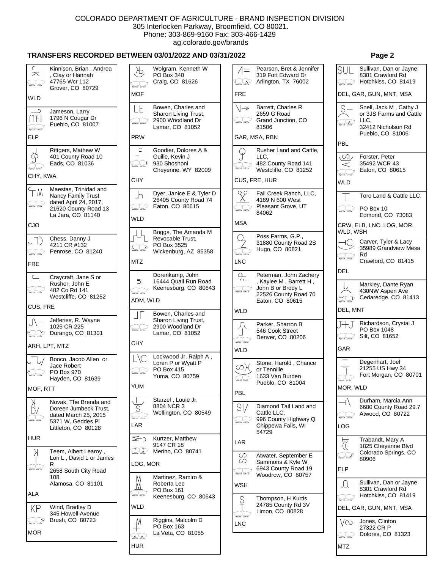# **TRANSFERS RECORDED BETWEEN 03/01/2022 AND 03/31/2022 Page 2**

## Wolgram, Kenneth W Pearson, Bret & Jennifer Sullivan, Dan or Jayne  $\overline{\mathbb{X}}$ Kinnison, Brian , Andrea SU Ж. , Clay or Hannah PO Box 340 319 Fort Edward Dr 8301 Crawford Rd 47765 Wcr 112 Craig, CO 81626 Arlington, TX 76002 Hotchkiss, CO 81419  $\sum_{\text{light tar}}$ light Ear Left Ear Grover, CO 80729 **MOF** FRE DEL, GAR, GUN, MNT, MSA WLD Barrett, Charles R Bowen, Charles and S Snell, Jack M , Cathy J  $N \rightarrow$ LE  $\bigcap$ Jameson, Larry Sharon Living Trust, 2659 G Road or 3JS Farms and Cattle m4 1796 N Cougar Dr 2900 Woodland Dr Grand Junction, CO  $\overline{1}$  $\overline{L}$  $\sum_{\text{light for } \text{ left for}}$ light for Left Ear Pueblo, CO 81007 Lamar, CO 81052 81506 32412 Nicholson Rd aght Car Leff Car Pueblo, CO 81006 ELP PRW GAR, MSA, RBN PBL Rittgers, Mathew W Goodier, Dolores A & Rusher Land and Cattle, F Ģ Ÿ 401 County Road 10 Guille, Kevin J LLC,  $\omega$ Forster, Peter τJ Eads, CO 81036 **Dighter Lefter** 930 Shoshoni 482 County Road 141 35492 WCR 43  $\lt$ light Car Lefft Car **SON Car Lett Car** Cheyenne, WY 82009 Westcliffe, CO 81252 Eaton, CO 80615 light Car Left Car CHY, KWA **CHY** CUS, FRE, HUR **WLD** Maestas, Trinidad and ΤM Dyer, Janice E & Tyler D  $QQ$ Fall Creek Ranch, LLC,  $\overline{\phantom{a}}$ Nancy Family Trust Toro Land & Cattle LLC, 26405 County Road 74 4189 N 600 West dated April 24, 2017, light for Left Ear Eaton, CO 80615 Pleasant Grove, UT 21620 County Road 13  $\frac{1}{2}$ PO Box 10 tions for Left For ight Car Left Car 84062 La Jara,  $CO$   $81140$ Edmond, CO 73083 **WLD** MSA CJO CRW, ELB, LNC, LOG, MOR, Boggs, The Amanda M WLD, WSH Poss Farms, G.P., Q Chess, Danny J Revocable Trust, JT) Carver, Tyler & Lacy 31880 County Road 2S -IC 4211 CR #132 PO Box 3525  $\angle$ **Supplier** Left Ear 35989 Grandview Mesa Hugo, CO 80821 Penrose, CO 81240 Wickenburg, AZ 85358 **Boot For Left For**  $\frac{1}{2}$ Rd light Car Left Car Crawford, CO 81415 MTZ LNC FRE DEL Dorenkamp, John  $\Omega$ Peterman, John Zachery  $\smash{\subset\hspace{-1.2mm}}$ Craycraft, Jane S or 16444 Quail Run Road  $\overline{\phantom{0}}$ , Kaylee M , Barrett H , Þ Rusher, John E Markley, Dante Ryan Keenesburg, CO 80643 John B or Brody L light for tell for 482 Co Rd 141 430NW Aspen Ave light Ear Left Ear **Might Car** Loft Car 22526 County Road 70 Westcliffe, CO 81252 Cedaredge, CO 81413 ADM, WLD Eaton, CO 80615 CUS, FRE DEL, MNT **WLD** Bowen, Charles and  $\Box$ Jefferies, R. Wayne Sharon Living Trust, Richardson, Crystal J Parker, Sharron B 1025 CR 225 2900 Woodland Dr  $\sum_{\text{bolic line}}$  Durango, CO 81301 **Bant Car Left Car** 546 Cook Street PO Box 1048  $\perp$ Lamar, CO 81052 Silt, CO 81652 Denver, CO 80206 light Car Left Car **Contact Lenter CHY** ARH, LPT, MTZ WLD<sup></sup> GAR Lockwood Jr, Ralph A , Booco, Jacob Allen or L\C Loren P or Wyatt P Stone, Harold , Chance Degenhart, Joel Jace Robert 21255 US Hwy 34 M CO PO Box 415 or Tennille PO Box 970 **Bakt for Left For**  $\overline{\phantom{a}}$ Fort Morgan, CO 80701 Yuma, CO 80759 1633 Van Burden Hayden, CO 81639 <u>ignter Lefter</u> **THATER LITTLE** Pueblo, CO 81004 YUM MOR, WLD MOF, RTT PBL Starzel , Louie Jr. Durham, Marcia Ann Novak, The Brenda and  $\overline{+}$ 8804 NCR 3  $SI/$ Diamond Tail Land and 6680 County Road 29.7  $\overline{\mathcal{S}}$ Doreen Jumbeck Trust,  $D/$ Wellington, CO 80549 Cattle LLC, Atwood, CO 80722 dated March 25, 2015  $\overline{\phantom{a}}$ synt Car Loft Car **System Left Car** 996 County Highway Q light Ear Left Ear 5371 W. Geddes Pl LAR Chippewa Falls, WI LOG Littleton, CO 80128 54729 HUR  $\leq$ Kurtzer, Matthew  $\overline{\mathbb{C}}$ Trabandt, Mary A LAR 9147 CR 18 1825 Cheyenne Blvd  $\sum_{\text{input}}$ Teem, Albert Learoy , Merino, CO 80741 Κ Colorado Springs, CO S Atwater, September E  $\sum_{\text{intra}}$ Lori L , David L or James 80906  $\circlearrowright$ Sammons & Kyle W LOG, MOR R Right Car Loft Car 6943 County Road 19 ELP 2658 South City Road **Sant Car Left Car** Woodrow, CO 80757 M Martinez, Ramiro & 108 Sullivan, Dan or Jayne Alamosa, CO 81101 Roberta Lee Л **WSH**  $\underline{M}$ PO Box 161 8301 Crawford Rd ALA **System Leftier** Hotchkiss, CO 81419 Keenesburg, CO 80643 **System** Left Ear Thompson, H Kurtis 24785 County Rd 3V KP WLD Wind, Bradley D DEL, GAR, GUN, MNT, MSA Limon, CO 80828 345 Howell Avenue **The Contract Contract** Riggins, Malcolm D  $\fbox{subject to} \begin{picture}(120,140)(-0.00,0.00) \put(0,0){\line(1,0){10}} \put(15,0){\line(1,0){10}} \put(15,0){\line(1,0){10}} \put(15,0){\line(1,0){10}} \put(15,0){\line(1,0){10}} \put(15,0){\line(1,0){10}} \put(15,0){\line(1,0){10}} \put(15,0){\line(1,0){10}} \put(15,0){\line(1,0){10}} \put(15,0){\line(1,0){10}} \put(15,0){\line($ Brush, CO 80723 M VN Jones, Clinton LNC PO Box 163 27322 CR P  $^+$ MOR La Veta, CO 81055 Dolores, CO 81323  $A$  $\frac{1}{2}$ HUR MTZ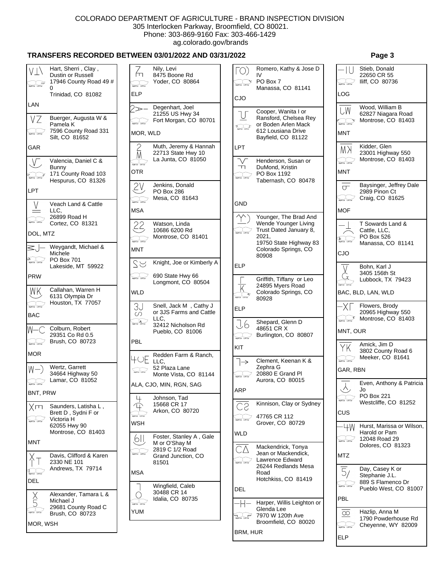CJO

 $\bigcirc$ 

light Car Left Car

 $\checkmark$ 

LPT

 $\sqrt{}$ 

ᆩ

**Santa Carl Lett Earl** 

 $\sum_{\text{square}}$ 

GND

light Car Left Car

ELP

ELP

. I.6

**System** Left Ear

1→

**Dight Ear** Left Ear

 $\overline{\mathsf{K}}$ 

spiter teller

KIT

ARP

<u>CS</u>

light Ear Left Ear

WLD<sup></sup>

СΔ **System Lefter** 

DEL

 $\overline{u}$ 

## **TRANSFERS RECORDED BETWEEN 03/01/2022 AND 03/31/2022 Page 3**

## Hart, Sherri, Clay, Nily, Levi VТ/ Dustin or Russell fп 8475 Boone Rd 17946 County Road 49 # Yoder, CO 80864  $\begin{picture}(180,10) \put(0,0){\line(1,0){10}} \put(10,0){\line(1,0){10}} \put(10,0){\line(1,0){10}} \put(10,0){\line(1,0){10}} \put(10,0){\line(1,0){10}} \put(10,0){\line(1,0){10}} \put(10,0){\line(1,0){10}} \put(10,0){\line(1,0){10}} \put(10,0){\line(1,0){10}} \put(10,0){\line(1,0){10}} \put(10,0){\line(1,0){10}} \put(10,0){\line($  $\overline{0}$ ELP Trinidad, CO 81082 LAN Degenhart, Joel 2≫ 21255 US Hwy 34 Buerger, Augusta W &  $V\bar{Z}$ Fort Morgan, CO 80701 lant Car Left Car Pamela K 7596 County Road 331 **Bight Car** Left Car MOR, WLD Silt, CO 81652 Muth, Jeremy & Hannah GAR 22713 State Hwy 10 M La Junta, CO 81050 Valencia, Daniel C &  $\sqrt{}$ **Hight Ear** Left Ear Bunny **OTR** 171 County Road 103  $\overline{c}$ Hespurus, CO 81326  $\overline{\mathcal{Z}^{\mathsf{V}}}$ Jenkins, Donald LPT PO Box 286 Mesa, CO 81643 **Butter LeftErr**  $\vee$ Veach Land & Cattle MSA LLC, 26899 Road H **RightEar** LeftEar Cortez, CO 81321  $22$ Watson, Linda 10686 6200 Rd DOL, MTZ Montrose, CO 81401 Weygandt, Michael &  $=$   $-$ MNT Michele PO Box 701  $\sum_{\text{light for } \text{infinite}}$ SS Knight, Joe or Kimberly A Lakeside, MT 59922 690 State Hwy 66 **Sight Left Left Law** PRW Longmont, CO 80504 WK. Callahan, Warren H WLD 6131 Olympia Dr Houston, TX 77057 Snell, Jack M , Cathy J light Car Left Car 3J or 3JS Farms and Cattle BAC  $\circ$ LLC,  $\overbrace{ }$ 32412 Nicholson Rd W- $-\bigcap$ Colburn, Robert Pueblo, CO 81006 29351 Co Rd 0.5 Brush, CO 80723 PBL light Car Left Car MOR Redden Farm & Ranch,  $+ \circ E$  LLC, Wertz, Garrett 52 Plaza Lane W- $\fbox{array:} \noindent \begin{picture}(120,140) \put(0,0){\vector(1,0){10}} \put(15,0){\vector(1,0){10}} \put(15,0){\vector(1,0){10}} \put(15,0){\vector(1,0){10}} \put(15,0){\vector(1,0){10}} \put(15,0){\vector(1,0){10}} \put(15,0){\vector(1,0){10}} \put(15,0){\vector(1,0){10}} \put(15,0){\vector(1,0){10}} \put(15,0){\vector(1,0){10}} \put(15,0){\vector(1,0){10}} \$ 34664 Highway 50 Monte Vista, CO 81144 Lamar, CO 81052 Right Car Left Car ALA, CJO, MIN, RGN, SAG BNT, PRW  $\downarrow$ Johnson, Tad 15668 CR 17 **Xm** Saunders, Latisha L ,  $\mathbb{R}$ Arkon, CO 80720 Brett D , Sydni F or spiter Leftin Victoria H  $\begin{picture}(120,115) \put(0,0){\line(1,0){15}} \put(15,0){\line(1,0){15}} \put(15,0){\line(1,0){15}} \put(15,0){\line(1,0){15}} \put(15,0){\line(1,0){15}} \put(15,0){\line(1,0){15}} \put(15,0){\line(1,0){15}} \put(15,0){\line(1,0){15}} \put(15,0){\line(1,0){15}} \put(15,0){\line(1,0){15}} \put(15,0){\line(1,0){15}} \put(15,0){\line$ **WSH** 62055 Hwy 90 Montrose, CO 81403 Foster, Stanley A , Gale <u>(</u>611 MNT M or O'Shay M 2819 C 1/2 Road Davis, Clifford & Karen Grand Junction, CO 2330 NE 101 81501 Andrews, TX 79714 **Reporter** Left Ear **MSA** DEL Wingfield, Caleb 30488 CR 14 Alexander, Tamara L &  $\check{\mathbf{5}}$  $\bigcirc$ Idalia, CO 80735 Michael J **Right Car Loff Car** 29681 County Road C YUM spiter Leftler Brush, CO 80723 MOR, WSH

## Romero, Kathy & Jose D Stieb, Donald 22650 CR 55  $IV$ PO Box 7 Iliff, CO 80736 ight Car Left Car Manassa, CO 81141 LOG Wood, William B **UW** Cooper, Wanita I or 62827 Niagara Road Ransford, Chelsea Rey Montrose, CO 81403 **Digit for Left Ear** or Boden Arlen Mack 612 Lousiana Drive **MNT** Bayfield, CO 81122 Kidder, Glen MЖ 23001 Highway 550 Montrose, CO 81403 Henderson, Susan or light Car Left Car DuMond, Kristin **MNT** PO Box 1192 Tabernash, CO 80478 Baysinger, Jeffrey Dale  $\overline{\sigma}$ 2989 Pinon Ct Craig, CO 81625 light Car Left Car **MOF** Younger, The Brad And T Sowards Land & Wende Younger Living Trust Dated January 8, Cattle, LLC, 2021, PO Box 526  $\overline{\mathbf{F}}$  . Lett be 19750 State Highway 83 Manassa, CO 81141 Colorado Springs, CO CJO 80908 Bohn, Karl J  $\overline{\vee}$ 3405 156th St Ġ Griffith, Tiffany or Leo Lubbock, TX 79423 ght Car Laft Car 24895 Myers Road Colorado Springs, CO BAC, BLD, LAN, WLD 80928 Flowers, Brody ·ΧΙ 20965 Highway 550  $\mathcal{L}_{\text{inter}}$  Montrose, CO 81403 Shepard, Glenn D 48651 CR X MNT, OUR Burlington, CO 80807 Amick, Jim D ΥK 3802 County Road 6 Meeker, CO 81641 light for Left Ear Clement, Keenan K & Zephra G GAR, RBN 20880 E Grand Pl Aurora, CO 80015 Even, Anthony & Patricia  $\lambda$ , Jo PO Box 221 ight Car Left Car Westcliffe, CO 81252 Kinnison, Clay or Sydney CUS 47765 CR 112 Grover, CO 80729  $-W +$ Hurst, Marissa or Wilson, Harold or Pam 12048 Road 29 light Car Left Car Dolores, CO 81323 Mackendrick, Tonya Jean or Mackendick, MTZ Lawrence Edward 26244 Redlands Mesa Day, Casey K or  $\overline{5}/$ Road Stephanie J.L. Hotchkiss, CO 81419 889 S Flamenco Dr ight Car Left Car Pueblo West, CO 81007 PBL Harper, Willis Leighton or Glenda Lee Hazlip, Anna M  $\overline{\infty}$ 7970 W 120th Ave 1790 Powderhouse Rd Broomfield, CO 80020 Cheyenne, WY 82009 light for Left for BRM, HUR ELP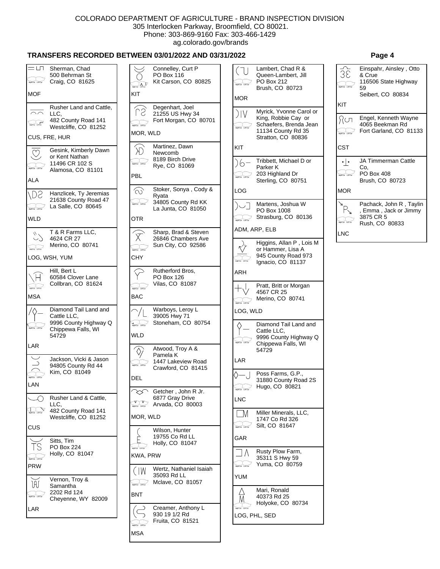$\vert$  ( IJ

## **TRANSFERS RECORDED BETWEEN 03/01/2022 AND 03/31/2022 Page 4**

| $=$ LH $=$<br><b>Bahl Cor Left Cor</b>                                   | Sherman, Chad<br>500 Behrman St<br>Craig, CO 81625                                           | $\fbox{ \begin{picture}(20,10) \put(0,0){\line(1,0){10}} \put(15,0){\line(1,0){10}} \put(15,0){\line(1,0){10}} \put(15,0){\line(1,0){10}} \put(15,0){\line(1,0){10}} \put(15,0){\line(1,0){10}} \put(15,0){\line(1,0){10}} \put(15,0){\line(1,0){10}} \put(15,0){\line(1,0){10}} \put(15,0){\line(1,0){10}} \put(15,0){\line(1,0){10}} \put(15,0){\$ | Connelley, Curt P<br>PO Box 116<br>Kit Carson, CO 80825                    |
|--------------------------------------------------------------------------|----------------------------------------------------------------------------------------------|------------------------------------------------------------------------------------------------------------------------------------------------------------------------------------------------------------------------------------------------------------------------------------------------------------------------------------------------------|----------------------------------------------------------------------------|
| MOF                                                                      |                                                                                              | KIT                                                                                                                                                                                                                                                                                                                                                  |                                                                            |
| $\curvearrowright$ $\curvearrowright$<br>$\frac{1}{\sqrt{2}}$            | Rusher Land and Cattle,<br>LLC,<br>482 County Road 141<br>Westcliffe, CO 81252               | <b>Byth Car Left Car</b><br>MOR, WLD                                                                                                                                                                                                                                                                                                                 | Degenhart, Joel<br>21255 US Hwy 34<br>Fort Morgan, CO 80701                |
|                                                                          | CUS, FRE, HUR                                                                                |                                                                                                                                                                                                                                                                                                                                                      | Martinez, Dawn                                                             |
| light for Left for                                                       | Gesink, Kimberly Dawn<br>or Kent Nathan<br>11496 CR 102 S<br>Alamosa, CO 81101               | <b>Ballier LeftEer</b><br>PBL                                                                                                                                                                                                                                                                                                                        | Newcomb<br>8189 Birch Drive<br>Rye, CO 81069                               |
| ALA                                                                      |                                                                                              |                                                                                                                                                                                                                                                                                                                                                      |                                                                            |
| /DS<br>light Ear Left Ear                                                | Hanzlicek, Ty Jeremias<br>21638 County Road 47<br>La Salle, CO 80645                         | $\widehat{\infty}$<br><b>Maht Car Laff Car</b>                                                                                                                                                                                                                                                                                                       | Stoker, Sonya, Cody &<br>Ryata<br>34805 County Rd KK<br>La Junta, CO 81050 |
| WLD                                                                      |                                                                                              | <b>OTR</b>                                                                                                                                                                                                                                                                                                                                           |                                                                            |
|                                                                          | T & R Farms LLC,<br>4624 CR 27<br>Merino, CO 80741<br>LOG, WSH, YUM                          | light for Left Ear<br>CHY                                                                                                                                                                                                                                                                                                                            | Sharp, Brad & Steven<br>26846 Chambers Ave<br>Sun City, CO 92586           |
| $\begin{array}{c c}\n\hline\n\text{matrix} & \text{matrix}\n\end{array}$ | Hill, Bert L<br>60584 Clover Lane<br>Collbran, CO 81624                                      | <b>Battler</b> Left Car                                                                                                                                                                                                                                                                                                                              | Rutherford Bros,<br><b>PO Box 126</b><br>Vilas, CO 81087                   |
| <b>MSA</b>                                                               |                                                                                              | <b>BAC</b>                                                                                                                                                                                                                                                                                                                                           |                                                                            |
| light Car Left Car                                                       | Diamond Tail Land and<br>Cattle LLC,<br>9996 County Highway Q<br>Chippewa Falls, WI<br>54729 | $\overline{4}$ . The contract of the set of $\overline{4}$<br><b>WLD</b>                                                                                                                                                                                                                                                                             | Warboys, Leroy L<br>39005 Hwy 71<br>Stoneham, CO 80754                     |
| LAR                                                                      |                                                                                              |                                                                                                                                                                                                                                                                                                                                                      | Atwood, Troy A &                                                           |
|                                                                          | Jackson, Vicki & Jason<br>94805 County Rd 44<br>Kim, CO 81049                                | light for Left Cor<br>DEL                                                                                                                                                                                                                                                                                                                            | Pamela K<br>1447 Lakeview Road<br>Crawford, CO 81415                       |
| LAN                                                                      |                                                                                              |                                                                                                                                                                                                                                                                                                                                                      |                                                                            |
| tight for Left Ear                                                       | Rusher Land & Cattle,<br>LLC,<br>482 County Road 141                                         | light for Left Ear                                                                                                                                                                                                                                                                                                                                   | Getcher, John R Jr.<br>6877 Gray Drive<br>Arvada, CO 80003                 |
|                                                                          | Westcliffe, CO 81252                                                                         | Mor, WLD                                                                                                                                                                                                                                                                                                                                             |                                                                            |
| CUS                                                                      | Sitts, Tim                                                                                   |                                                                                                                                                                                                                                                                                                                                                      | Wilson, Hunter<br>19755 Co Rd LL                                           |
| S<br><b>Baltimer</b> Left Cor                                            | PO Box 224<br>Holly, CO 81047                                                                | <b>Sight for Left Ear</b><br>KWA, PRW                                                                                                                                                                                                                                                                                                                | Holly, CO 81047                                                            |
| <b>PRW</b>                                                               |                                                                                              | (IW                                                                                                                                                                                                                                                                                                                                                  | Wertz, Nathaniel Isaiah                                                    |
| W<br>light Ear Left Ear                                                  | Vernon, Troy &<br>Samantha<br>2202 Rd 124                                                    | BNT                                                                                                                                                                                                                                                                                                                                                  | 35093 Rd LL<br>Mclave, CO 81057                                            |
| LAR                                                                      | Cheyenne, WY 82009                                                                           |                                                                                                                                                                                                                                                                                                                                                      | Creamer, Anthony L                                                         |
|                                                                          |                                                                                              |                                                                                                                                                                                                                                                                                                                                                      | 930 19 1/2 Rd<br>Fruita, CO 81521                                          |

MSA

| light Eur Left Eur      | PO Box 212<br>Brush, CO 80723                                                                                        |
|-------------------------|----------------------------------------------------------------------------------------------------------------------|
| <b>MOR</b>              |                                                                                                                      |
| ) IV                    | Myrick, Yvonne Carol or<br>King, Robbie Cay or<br>Schaefers, Brenda Jean<br>11134 County Rd 35<br>Stratton, CO 80836 |
| KIT                     |                                                                                                                      |
| LOG                     | Tribbett, Michael D or<br>Parker K<br>203 Highland Dr<br>Sterling, CO 80751                                          |
|                         | Martens, Joshua W                                                                                                    |
| light Car Left Co       | PO Box 1008<br>Strasburg, CO 80136                                                                                   |
|                         | ADM, ARP, ELB                                                                                                        |
|                         | Higgins, Allan P, Lois M<br>or Hammer, Lisa A<br>945 County Road 973<br>Ignacio, CO 81137                            |
| ARH                     |                                                                                                                      |
| light for Left Ear      | Pratt, Britt or Morgan<br>4567 CR 25<br>Merino, CO 80741                                                             |
| LOG, WLD                |                                                                                                                      |
|                         | Diamond Tail Land and<br>Cattle LLC,<br>9996 County Highway Q<br>Chippewa Falls, WI<br>54729                         |
| LAR                     |                                                                                                                      |
| $\frac{1}{\ln n \ln n}$ | Poss Farms, G.P.,<br>31880 County Road 2S<br>Hugo, CO 80821                                                          |
| NC                      |                                                                                                                      |
| M<br>light Car Left Car | Miller Minerals, LLC,<br>1747 Co Rd 326<br>Silt, CO 81647                                                            |
| GAR                     |                                                                                                                      |
|                         | Rusty Plow Farm,<br>35311 S Hwy 59<br>Yuma, CO 80759                                                                 |
|                         |                                                                                                                      |
| YUM                     |                                                                                                                      |
| a.                      | Mari, Ronald<br>40373 Rd 25<br>Holyoke, CO 80734                                                                     |

Lambert, Chad R & Queen-Lambert, Jill

| 38   | Einspahr, Ainsley, Otto<br>& Crue<br>116506 State Highway<br>59<br>Seibert, CO 80834 |
|------|--------------------------------------------------------------------------------------|
| KIT  |                                                                                      |
| Ωсл  | Engel, Kenneth Wayne<br>4065 Beekman Rd<br>Fort Garland, CO 81133                    |
| CST  |                                                                                      |
| ٠ ۰  | JA Timmerman Cattle<br>Co.<br><b>PO Box 408</b><br>Brush, CO 80723                   |
| MOR  |                                                                                      |
|      | Pachack, John R, Taylin<br>, Emma, Jack or Jimmy<br>3875 CR 5<br>Rush, CO 80833      |
| I NC |                                                                                      |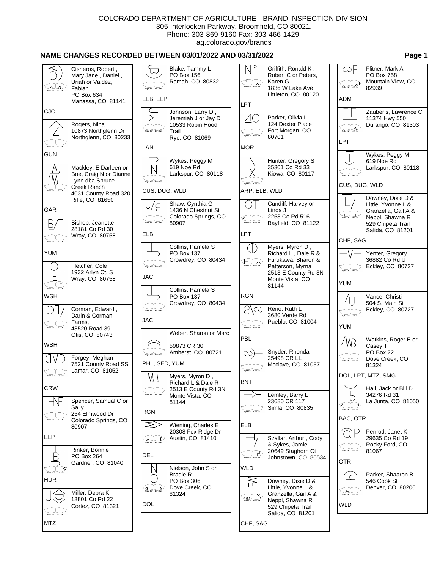# **NAME CHANGES RECORDED BETWEEN 03/01/2022 AND 03/31/2022 Page 1**

|                                         |                                                                                                          |                                     |                                                               | O                                       |                  |                                                                                      |                                                                                                                                                                                                                                                                                                                                                                          |                                                                                   |
|-----------------------------------------|----------------------------------------------------------------------------------------------------------|-------------------------------------|---------------------------------------------------------------|-----------------------------------------|------------------|--------------------------------------------------------------------------------------|--------------------------------------------------------------------------------------------------------------------------------------------------------------------------------------------------------------------------------------------------------------------------------------------------------------------------------------------------------------------------|-----------------------------------------------------------------------------------|
| $\overbrace{F}$ and $\overbrace{F}$     | Cisneros, Robert,<br>Mary Jane, Daniel,<br>Uriah or Valdez,<br>Fabian<br>PO Box 634<br>Manassa, CO 81141 | ℼ<br>Right Ear Left Ear<br>ELB, ELP | Blake, Tammy L<br>PO Box 156<br>Ramah, CO 80832               | <b>Right Ear</b> Left Ear<br><b>LPT</b> | Karen G          | Griffith, Ronald K,<br>Robert C or Peters,<br>1836 W Lake Ave<br>Littleton, CO 80120 | $\omega$ F<br>$\begin{picture}(180,10) \put(0,0){\line(1,0){10}} \put(10,0){\line(1,0){10}} \put(10,0){\line(1,0){10}} \put(10,0){\line(1,0){10}} \put(10,0){\line(1,0){10}} \put(10,0){\line(1,0){10}} \put(10,0){\line(1,0){10}} \put(10,0){\line(1,0){10}} \put(10,0){\line(1,0){10}} \put(10,0){\line(1,0){10}} \put(10,0){\line(1,0){10}} \put(10,0){\line($<br>ADM | Flitner, Mark A<br>PO Box 758<br>Mountain View, CO<br>82939                       |
| CJO                                     |                                                                                                          | $\left. \right\rangle$              | Johnson, Larry D,<br>Jeremiah J or Jay D                      | $\mathcal{V}(\Gamma)$                   | Parker, Olivia I |                                                                                      |                                                                                                                                                                                                                                                                                                                                                                          | Zauberis, Lawrence C<br>11374 Hwy 550                                             |
|                                         | Rogers, Nina<br>10873 Northglenn Dr<br>Northglenn, CO 80233                                              | Right Ear Left Ear                  | 10533 Robin Hood<br>Trail<br>Rye, CO 81069                    | <b>Right Ear</b> Left Ex                | 80701            | 124 Dexter Place<br>Fort Morgan, CO                                                  | Right Ear Left Ear<br><b>LPT</b>                                                                                                                                                                                                                                                                                                                                         | Durango, CO 81303                                                                 |
|                                         |                                                                                                          | LAN                                 |                                                               | <b>MOR</b>                              |                  |                                                                                      |                                                                                                                                                                                                                                                                                                                                                                          |                                                                                   |
| <b>GUN</b>                              |                                                                                                          |                                     | Wykes, Peggy M                                                |                                         |                  | Hunter, Gregory S                                                                    |                                                                                                                                                                                                                                                                                                                                                                          | Wykes, Peggy M<br>619 Noe Rd                                                      |
| M                                       | Mackley, E Darleen or<br>Boe, Craig N or Dianne<br>Lynn dba Spruce                                       | <b>Right Ear</b> Left Ear           | 619 Noe Rd<br>Larkspur, CO 80118                              | <b>Right Ear</b> Left Ear               |                  | 35301 Co Rd 33<br>Kiowa, CO 80117                                                    | Right Ear Left Ear                                                                                                                                                                                                                                                                                                                                                       | Larkspur, CO 80118                                                                |
| light Ear Left Ear                      | Creek Ranch<br>4031 County Road 320                                                                      | CUS, DUG, WLD                       |                                                               |                                         | ARP, ELB, WLD    |                                                                                      | CUS, DUG, WLD                                                                                                                                                                                                                                                                                                                                                            |                                                                                   |
| GAR                                     | Rifle, CO 81650                                                                                          |                                     | Shaw, Cynthia G<br>1436 N Chestnut St<br>Colorado Springs, CO |                                         | Linda J          | Cundiff, Harvey or<br>2253 Co Rd 516                                                 | Right Ear Left Ear                                                                                                                                                                                                                                                                                                                                                       | Downey, Dixie D &<br>Little, Yvonne L &<br>Granzella, Gail A &<br>Neppl, Shawna R |
| B,                                      | Bishop, Jeanette<br>28181 Co Rd 30                                                                       | Right Ear Left Ear                  | 80907                                                         | Right Ear Left Ear                      |                  | Bayfield, CO 81122                                                                   |                                                                                                                                                                                                                                                                                                                                                                          | 529 Chipeta Trail<br>Salida, CO 81201                                             |
| <b>Right Ear</b> Left Ear               | Wray, CO 80758                                                                                           | ELB                                 |                                                               | LPT                                     |                  |                                                                                      | CHF, SAG                                                                                                                                                                                                                                                                                                                                                                 |                                                                                   |
| <b>YUM</b>                              |                                                                                                          |                                     | Collins, Pamela S<br>PO Box 137                               |                                         |                  | Myers, Myron D,<br>Richard L, Dale R &                                               |                                                                                                                                                                                                                                                                                                                                                                          | Yenter, Gregory                                                                   |
|                                         | Fletcher, Cole                                                                                           | <b>Right Ear</b> Left Ea            | Crowdrey, CO 80434                                            | $\n  u = 2\n  u = 100 km$               |                  | Furukawa, Sharon &<br>Patterson, Myrna                                               |                                                                                                                                                                                                                                                                                                                                                                          | 36882 Co Rd U<br>Eckley, CO 80727                                                 |
|                                         | 1932 Arlyn Ct. S<br>Wray, CO 80758                                                                       | JAC                                 |                                                               |                                         |                  | 2513 E County Rd 3N<br>Monte Vista, CO                                               | Right Ear Left Ear                                                                                                                                                                                                                                                                                                                                                       |                                                                                   |
| Right Ear Left Ear                      |                                                                                                          |                                     | Collins, Pamela S                                             |                                         | 81144            |                                                                                      | <b>YUM</b>                                                                                                                                                                                                                                                                                                                                                               |                                                                                   |
| <b>WSH</b>                              |                                                                                                          |                                     | PO Box 137<br>Crowdrey, CO 80434                              | <b>RGN</b>                              |                  |                                                                                      |                                                                                                                                                                                                                                                                                                                                                                          | Vance, Christi<br>504 S. Main St                                                  |
|                                         | Corman, Edward,<br>Darin & Corman                                                                        | Right Ear Left Ea                   |                                                               | S/co                                    | Reno, Ruth L     | 3680 Verde Rd                                                                        | <b>Bight Far Left Fa</b>                                                                                                                                                                                                                                                                                                                                                 | Eckley, CO 80727                                                                  |
| light Ear Left Ear                      | Farms,<br>43520 Road 39                                                                                  | <b>JAC</b>                          |                                                               | Right Ear Left Ea                       |                  | Pueblo, CO 81004                                                                     | <b>YUM</b>                                                                                                                                                                                                                                                                                                                                                               |                                                                                   |
|                                         | Otis, CO 80743                                                                                           |                                     | Weber, Sharon or Marc                                         | PBL                                     |                  |                                                                                      |                                                                                                                                                                                                                                                                                                                                                                          | Watkins, Roger E or                                                               |
| <b>WSH</b>                              |                                                                                                          |                                     | 59873 CR 30<br>Amherst, CO 80721                              | $\infty$                                |                  | Snyder, Rhonda                                                                       | 'VB                                                                                                                                                                                                                                                                                                                                                                      | Casey T<br>PO Box 22                                                              |
| $\Box$                                  | Forgey, Meghan<br>7521 County Road SS<br>Lamar, CO 81052                                                 | PHL, SED, YUM                       |                                                               | Right Ear Left Ear                      | 25498 CR LL      | Mcclave, CO 81057                                                                    | <b>Right Ear</b> Left Ear                                                                                                                                                                                                                                                                                                                                                | Dove Creek, CO<br>81324                                                           |
| <b>Right Ear</b> Left Ear               |                                                                                                          | МH                                  | Myers, Myron D,<br>Richard L & Dale R                         | <b>BNT</b>                              |                  |                                                                                      |                                                                                                                                                                                                                                                                                                                                                                          | DOL, LPT, MTZ, SMG                                                                |
| <b>CRW</b>                              |                                                                                                          | <b>Right Ear</b> Left Ear           | 2513 E County Rd 3N<br>Monte Vista, CO                        |                                         |                  | Lemley, Barry L                                                                      |                                                                                                                                                                                                                                                                                                                                                                          | Hall, Jack or Bill D<br>34276 Rd 31                                               |
| HV                                      | Spencer, Samual C or<br>Sally                                                                            |                                     | 81144                                                         |                                         | 23680 CR 117     | Simla, CO 80835                                                                      |                                                                                                                                                                                                                                                                                                                                                                          | La Junta, CO 81050                                                                |
| Right Ear Left Ear                      | 254 Elmwood Dr<br>Colorado Springs, CO                                                                   | <b>RGN</b>                          |                                                               | Right Ear Left Ea                       |                  |                                                                                      | BAC, OTR                                                                                                                                                                                                                                                                                                                                                                 |                                                                                   |
|                                         | 80907                                                                                                    | $\gg$                               | Wiening, Charles E<br>20308 Fox Ridge Dr                      | <b>ELB</b>                              |                  |                                                                                      | $\zeta$                                                                                                                                                                                                                                                                                                                                                                  | Penrod, Janet K                                                                   |
| <b>ELP</b>                              |                                                                                                          | $\sum_{\text{Right Her}}$ Left Ear  | Austin, CO 81410                                              |                                         |                  | Szallar, Arthur, Cody<br>& Sykes, Jamie                                              |                                                                                                                                                                                                                                                                                                                                                                          | 29635 Co Rd 19<br>Rocky Ford, CO                                                  |
| B                                       | Rinker, Bonnie<br>PO Box 264                                                                             | DEL                                 |                                                               | Right Ear Left Ea                       |                  | 20649 Staghorn Ct<br>Johnstown, CO 80534                                             | <b>Right Ear</b> Left Ear<br>OTR                                                                                                                                                                                                                                                                                                                                         | 81067                                                                             |
| Right Ear Left Ear                      | Gardner, CO 81040                                                                                        |                                     | Nielson, John S or                                            | WLD                                     |                  |                                                                                      |                                                                                                                                                                                                                                                                                                                                                                          |                                                                                   |
| <b>HUR</b>                              |                                                                                                          |                                     | <b>Bradie R</b><br>PO Box 306                                 | 斉                                       |                  | Downey, Dixie D &                                                                    | $\sqrt{2}$                                                                                                                                                                                                                                                                                                                                                               | Parker, Shaaron B<br>546 Cook St                                                  |
|                                         | Miller, Debra K                                                                                          | Right Ear Left Ear                  | Dove Creek, CO<br>81324                                       | <b>OO</b> Left Ear                      |                  | Little, Yvonne L &<br>Granzella, Gail A &                                            | <b>Right Ear</b> Left Ear                                                                                                                                                                                                                                                                                                                                                | Denver, CO 80206                                                                  |
|                                         | 13801 Co Rd 22<br>Cortez, CO 81321                                                                       | DOL.                                |                                                               |                                         |                  | Neppl, Shawna R<br>529 Chipeta Trail                                                 | <b>WLD</b>                                                                                                                                                                                                                                                                                                                                                               |                                                                                   |
| <b>Right Ear</b> Left Ear<br><b>MTZ</b> |                                                                                                          |                                     |                                                               | CHF, SAG                                |                  | Salida, CO 81201                                                                     |                                                                                                                                                                                                                                                                                                                                                                          |                                                                                   |
|                                         |                                                                                                          |                                     |                                                               |                                         |                  |                                                                                      |                                                                                                                                                                                                                                                                                                                                                                          |                                                                                   |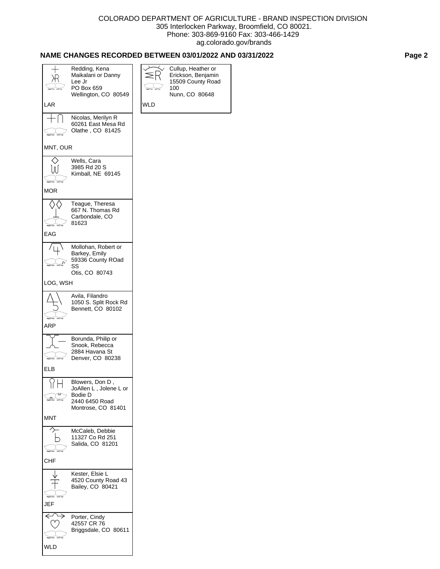# **NAME CHANGES RECORDED BETWEEN 03/01/2022 AND 03/31/2022 Page 2**

| LAR                                                       | Redding, Kena<br>Maikalani or Danny<br>Lee Jr<br>PO Box 659<br>Wellington, CO 80549          | <b>WLD</b> | Cullup, Heather or<br>Erickson, Benjamin<br>15509 County Road<br>100<br>Nunn, CO 80648 |
|-----------------------------------------------------------|----------------------------------------------------------------------------------------------|------------|----------------------------------------------------------------------------------------|
|                                                           | Nicolas, Merilyn R                                                                           |            |                                                                                        |
| Left Ea<br>light Ear                                      | 60261 East Mesa Rd<br>Olathe, CO 81425                                                       |            |                                                                                        |
| MNT, OUR                                                  |                                                                                              |            |                                                                                        |
| ЛJ<br><b>Right Ear</b> Left Ear<br>MOR                    | Wells, Cara<br>3985 Rd 20 S<br>Kimball, NE 69145                                             |            |                                                                                        |
|                                                           |                                                                                              |            |                                                                                        |
| <b>Right Ear</b> Left Ear<br>EAG                          | Teague, Theresa<br>667 N. Thomas Rd<br>Carbondale, CO<br>81623                               |            |                                                                                        |
|                                                           |                                                                                              |            |                                                                                        |
| <b>Right Ear</b> Left Ear                                 | Mollohan, Robert or<br>Barkey, Emily<br>59336 County ROad<br>SS<br>Otis, CO 80743            |            |                                                                                        |
| LOG, WSH                                                  |                                                                                              |            |                                                                                        |
| <b>Right Ear</b><br>Left Ear<br>ARP                       | Avila, Filandro<br>1050 S. Split Rock Rd<br>Bennett, CO 80102                                |            |                                                                                        |
| <b>Right Ear</b><br>Left Ear<br>ELB                       | Borunda, Philip or<br>Snook, Rebecca<br>2884 Havana St<br>Denver, CO 80238                   |            |                                                                                        |
| $\mathbf{1}$<br>Right Ear Left Ear                        | Blowers, Don D,<br>JoAllen L, Jolene L or<br>Bodie D<br>2440 6450 Road<br>Montrose, CO 81401 |            |                                                                                        |
| <b>MNT</b>                                                |                                                                                              |            |                                                                                        |
| ↷<br><b>Right Ear</b> Left Ear<br><b>CHF</b>              | McCaleb, Debbie<br>11327 Co Rd 251<br>Salida, CO 81201                                       |            |                                                                                        |
| <b>Right Ear</b> Left Ear<br>JEF                          | Kester, Elsie L<br>4520 County Road 43<br>Bailey, CO 80421                                   |            |                                                                                        |
| $\longleftrightarrow$<br><b>Right Ear</b> Left Ear<br>WLD | Porter, Cindy<br>42557 CR 76<br>Briggsdale, CO 80611                                         |            |                                                                                        |